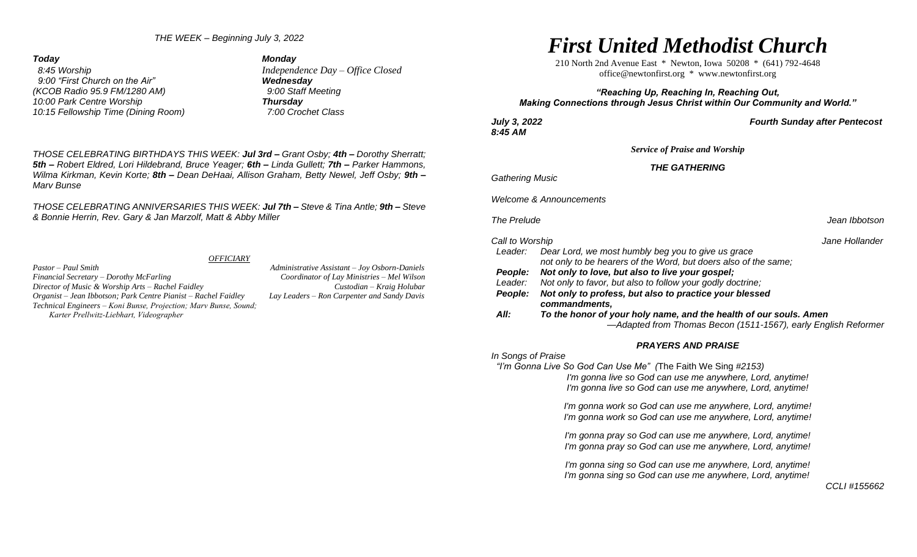### *THE WEEK – Beginning July 3, 2022*

 *8:45 Worship Independence Day – Office Closed 9:00 "First Church on the Air" Wednesday (KCOB Radio 95.9 FM/1280 AM) 9:00 Staff Meeting 10:00 Park Centre Worship Thursday 10:15 Fellowship Time (Dining Room) 7:00 Crochet Class*

*Today Monday*

*THOSE CELEBRATING BIRTHDAYS THIS WEEK: Jul 3rd – Grant Osby; 4th – Dorothy Sherratt; 5th – Robert Eldred, Lori Hildebrand, Bruce Yeager; 6th – Linda Gullett; 7th – Parker Hammons, Wilma Kirkman, Kevin Korte; 8th – Dean DeHaai, Allison Graham, Betty Newel, Jeff Osby; 9th – Marv Bunse*

*THOSE CELEBRATING ANNIVERSARIES THIS WEEK: Jul 7th – Steve & Tina Antle; 9th – Steve & Bonnie Herrin, Rev. Gary & Jan Marzolf, Matt & Abby Miller*

#### *OFFICIARY*

*Pastor – Paul Smith Administrative Assistant – Joy Osborn-Daniels Financial Secretary – Dorothy McFarling Coordinator of Lay Ministries – Mel Wilson Director of Music & Worship Arts – Rachel Faidley Custodian – Kraig Holubar Organist – Jean Ibbotson; Park Centre Pianist – Rachel Faidley Lay Leaders – Ron Carpenter and Sandy Davis Technical Engineers – Koni Bunse, Projection; Marv Bunse, Sound; Karter Prellwitz-Liebhart, Videographer*

# *First United Methodist Church*

210 North 2nd Avenue East \* Newton, Iowa 50208 \* (641) 792-4648 [office@newtonfirst.org](mailto:office@newtonfirst.org) \* [www.newtonfirst.org](http://www.newtonfirst.org/)

# *"Reaching Up, Reaching In, Reaching Out, Making Connections through Jesus Christ within Our Community and World."*

*8:45 AM* 

*July 3, 2022 Fourth Sunday after Pentecost* 

*Service of Praise and Worship*

*THE GATHERING*

*Gathering Music* 

*Welcome & Announcements*

**The Prelude Jean Ibbotson** 

#### *Call to Worship Jane Hollander*

| Leader:        | Dear Lord, we most humbly beg you to give us grace                |
|----------------|-------------------------------------------------------------------|
|                | not only to be hearers of the Word, but doers also of the same;   |
| <b>People:</b> | Not only to love, but also to live your gospel;                   |
| Leader:        | Not only to favor, but also to follow your godly doctrine;        |
| <b>People:</b> | Not only to profess, but also to practice your blessed            |
|                | commandments,                                                     |
| All:           | To the honor of your holy name, and the health of our souls. Amen |
|                | -Adapted from Thomas Becon (1511-1567), early English Reformer    |

#### *PRAYERS AND PRAISE*

*In Songs of Praise*

 *"I'm Gonna Live So God Can Use Me" (*The Faith We Sing *#2153)*

*I'm gonna live so God can use me anywhere, Lord, anytime! I'm gonna live so God can use me anywhere, Lord, anytime!*

*I'm gonna work so God can use me anywhere, Lord, anytime! I'm gonna work so God can use me anywhere, Lord, anytime!*

*I'm gonna pray so God can use me anywhere, Lord, anytime! I'm gonna pray so God can use me anywhere, Lord, anytime!*

*I'm gonna sing so God can use me anywhere, Lord, anytime! I'm gonna sing so God can use me anywhere, Lord, anytime!* 

#### *CCLI #155662*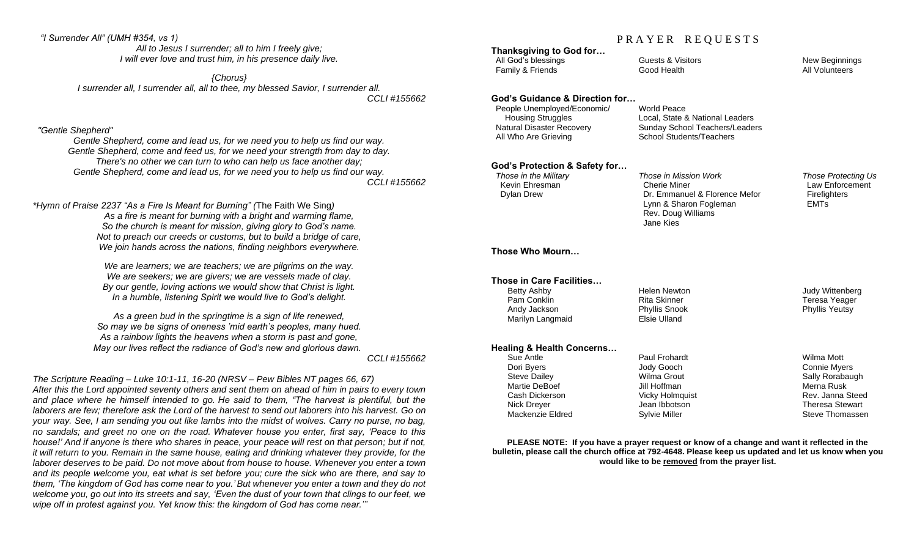*"I Surrender All" (UMH #354, vs 1)*

*All to Jesus I surrender; all to him I freely give; I will ever love and trust him, in his presence daily live.*

*{Chorus} I surrender all, I surrender all, all to thee, my blessed Savior, I surrender all. CCLI #155662*

### *"Gentle Shepherd"*

*Gentle Shepherd, come and lead us, for we need you to help us find our way. Gentle Shepherd, come and feed us, for we need your strength from day to day. There's no other we can turn to who can help us face another day; Gentle Shepherd, come and lead us, for we need you to help us find our way. CCLI #155662*

*\*Hymn of Praise 2237 "As a Fire Is Meant for Burning" (*The Faith We Sing*)*

*As a fire is meant for burning with a bright and warming flame, So the church is meant for mission, giving glory to God's name. Not to preach our creeds or customs, but to build a bridge of care, We join hands across the nations, finding neighbors everywhere.*

*We are learners; we are teachers; we are pilgrims on the way. We are seekers; we are givers; we are vessels made of clay. By our gentle, loving actions we would show that Christ is light. In a humble, listening Spirit we would live to God's delight.*

*As a green bud in the springtime is a sign of life renewed, So may we be signs of oneness 'mid earth's peoples, many hued. As a rainbow lights the heavens when a storm is past and gone, May our lives reflect the radiance of God's new and glorious dawn.* 

*CCLI #155662*

*The Scripture Reading – Luke 10:1-11, 16-20 (NRSV – Pew Bibles NT pages 66, 67) After this the Lord appointed seventy others and sent them on ahead of him in pairs to every town and place where he himself intended to go. He said to them, "The harvest is plentiful, but the laborers are few; therefore ask the Lord of the harvest to send out laborers into his harvest. Go on your way. See, I am sending you out like lambs into the midst of wolves. Carry no purse, no bag, no sandals; and greet no one on the road. Whatever house you enter, first say, 'Peace to this house!' And if anyone is there who shares in peace, your peace will rest on that person; but if not, it will return to you. Remain in the same house, eating and drinking whatever they provide, for the laborer deserves to be paid. Do not move about from house to house. Whenever you enter a town and its people welcome you, eat what is set before you; cure the sick who are there, and say to them, 'The kingdom of God has come near to you.' But whenever you enter a town and they do not welcome you, go out into its streets and say, 'Even the dust of your town that clings to our feet, we wipe off in protest against you. Yet know this: the kingdom of God has come near.'"*

# PRAYER REQUESTS

**Thanksgiving to God for…** All God's blessings The Guests & Visitors New Beginnings New Beginnings Family & Friends **Friends** Good Health **All Volunteers** All Volunteers

#### **God's Guidance & Direction for…**

People Unemployed/Economic/ World Peace All Who Are Grieving School Students/Teachers

 Housing Struggles Local, State & National Leaders Sunday School Teachers/Leaders

# **God's Protection & Safety for…**

 *Those in the Military Those in Mission Work Those Protecting Us* Kevin Ehresman Cherie Miner Law Enforcement Cherie Miner Dylan Drew Dr. Emmanuel & Florence Mefor Firefighters Lynn & Sharon Fogleman **EMTs**  Rev. Doug Williams Jane Kies

#### **Those Who Mourn…**

| Those in Care Facilities…            |                     |                        |
|--------------------------------------|---------------------|------------------------|
|                                      |                     |                        |
| Betty Ashby                          | Helen Newton        | <b>Judy Wittenberg</b> |
| Pam Conklin                          | <b>Rita Skinner</b> | <b>Teresa Yeager</b>   |
| Andy Jackson                         | Phyllis Snook       | <b>Phyllis Yeutsy</b>  |
| Marilyn Langmaid                     | Elsie Ulland        |                        |
| <b>Healing &amp; Health Concerns</b> |                     |                        |
| Sue Antle                            | Paul Frohardt       | Wilma Mott             |
| Dori Byers                           | Jody Gooch          | Connie Myers           |
| <b>Steve Dailey</b>                  | Wilma Grout         | Sally Rorabaugh        |

Martie DeBoef **Martie DeBoef** Jill Hoffman Martie DeBoef and Merna Rusk Cash Dickerson Vicky Holmquist Rev. Janna Steed Nick Dreyer **Nick Drewer** Jean Ibbotson **Theresa Stewart** Mackenzie Eldred Sylvie Miller Sylvie Miller Steve Thomassen

**PLEASE NOTE: If you have a prayer request or know of a change and want it reflected in the bulletin, please call the church office at 792-4648. Please keep us updated and let us know when you would like to be removed from the prayer list.**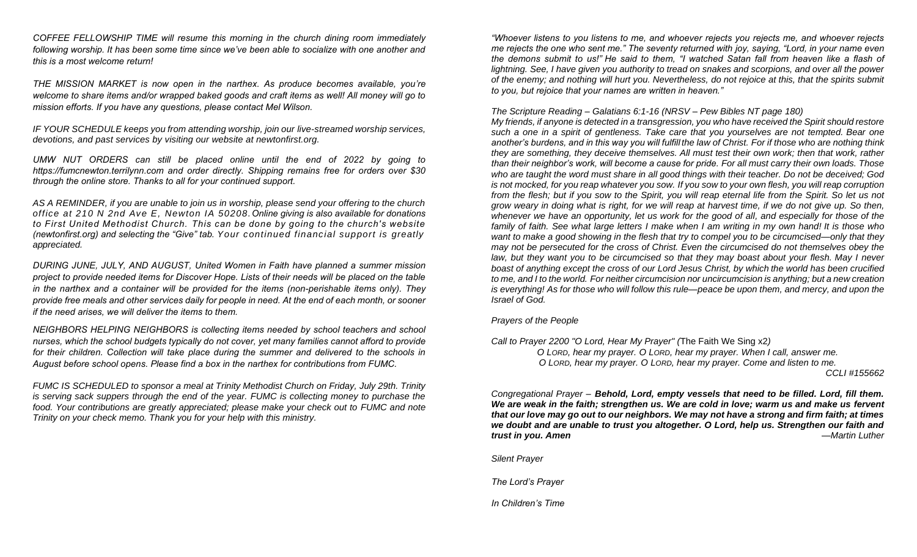*COFFEE FELLOWSHIP TIME will resume this morning in the church dining room immediately following worship. It has been some time since we've been able to socialize with one another and this is a most welcome return!*

*THE MISSION MARKET is now open in the narthex. As produce becomes available, you're welcome to share items and/or wrapped baked goods and craft items as well! All money will go to mission efforts. If you have any questions, please contact Mel Wilson.*

*IF YOUR SCHEDULE keeps you from attending worship, join our live-streamed worship services, devotions, and past services by visiting our website at newtonfirst.org.* 

*UMW NUT ORDERS can still be placed online until the end of 2022 by going to [https://fumcnewton.terrilynn.com](https://fumcnewton.terrilynn.com/) and order directly. Shipping remains free for orders over \$30 through the online store. Thanks to all for your continued support.*

*AS A REMINDER, if you are unable to join us in worship, please send your offering to the church office at 210 N 2nd Ave E, Newton IA 50208.Online giving is also available for donations to First United Methodist Church. This can be done by going to the church's website (newtonfirst.org) and selecting the "Give" tab. Your continued financial support is greatly appreciated.*

*DURING JUNE, JULY, AND AUGUST, United Women in Faith have planned a summer mission project to provide needed items for Discover Hope. Lists of their needs will be placed on the table in the narthex and a container will be provided for the items (non-perishable items only). They provide free meals and other services daily for people in need. At the end of each month, or sooner if the need arises, we will deliver the items to them.* 

*NEIGHBORS HELPING NEIGHBORS is collecting items needed by school teachers and school nurses, which the school budgets typically do not cover, yet many families cannot afford to provide for their children. Collection will take place during the summer and delivered to the schools in August before school opens. Please find a box in the narthex for contributions from FUMC.* 

*FUMC IS SCHEDULED to sponsor a meal at Trinity Methodist Church on Friday, July 29th. Trinity is serving sack suppers through the end of the year. FUMC is collecting money to purchase the food. Your contributions are greatly appreciated; please make your check out to FUMC and note Trinity on your check memo. Thank you for your help with this ministry.*

*"Whoever listens to you listens to me, and whoever rejects you rejects me, and whoever rejects me rejects the one who sent me." The seventy returned with joy, saying, "Lord, in your name even the demons submit to us!" He said to them, "I watched Satan fall from heaven like a flash of lightning. See, I have given you authority to tread on snakes and scorpions, and over all the power of the enemy; and nothing will hurt you. Nevertheless, do not rejoice at this, that the spirits submit to you, but rejoice that your names are written in heaven."*

#### *The Scripture Reading – Galatians 6:1-16 (NRSV – Pew Bibles NT page 180)*

*My friends, if anyone is detected in a transgression, you who have received the Spirit should restore such a one in a spirit of gentleness. Take care that you yourselves are not tempted. Bear one another's burdens, and in this way you will fulfill the law of Christ. For if those who are nothing think they are something, they deceive themselves. All must test their own work; then that work, rather than their neighbor's work, will become a cause for pride. For all must carry their own loads. Those who are taught the word must share in all good things with their teacher. Do not be deceived; God is not mocked, for you reap whatever you sow. If you sow to your own flesh, you will reap corruption from the flesh; but if you sow to the Spirit, you will reap eternal life from the Spirit. So let us not grow weary in doing what is right, for we will reap at harvest time, if we do not give up. So then, whenever we have an opportunity, let us work for the good of all, and especially for those of the family of faith. See what large letters I make when I am writing in my own hand! It is those who want to make a good showing in the flesh that try to compel you to be circumcised—only that they may not be persecuted for the cross of Christ. Even the circumcised do not themselves obey the law, but they want you to be circumcised so that they may boast about your flesh. May I never boast of anything except the cross of our Lord Jesus Christ, by which the world has been crucified to me, and I to the world. For neither circumcision nor uncircumcision is anything; but a new creation is everything! As for those who will follow this rule—peace be upon them, and mercy, and upon the Israel of God.*

*Prayers of the People*

*Call to Prayer 2200 "O Lord, Hear My Prayer" (*The Faith We Sing x2*)* 

*O LORD, hear my prayer. O LORD, hear my prayer. When I call, answer me. O LORD, hear my prayer. O LORD, hear my prayer. Come and listen to me.* 

*CCLI #155662*

*Congregational Prayer – Behold, Lord, empty vessels that need to be filled. Lord, fill them. We are weak in the faith; strengthen us. We are cold in love; warm us and make us fervent that our love may go out to our neighbors. We may not have a strong and firm faith; at times we doubt and are unable to trust you altogether. O Lord, help us. Strengthen our faith and trust in you. Amen —Martin Luther*

*Silent Prayer*

*The Lord's Prayer*

*In Children's Time*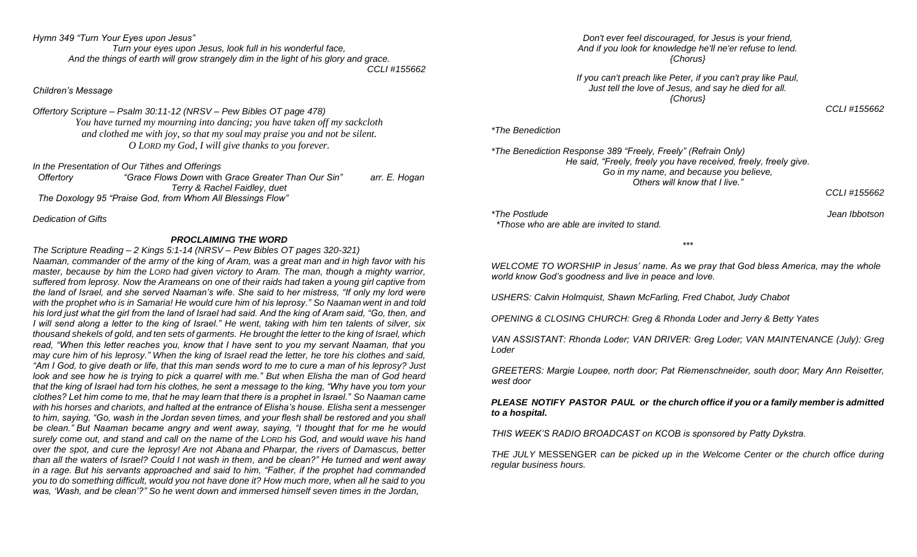*Hymn 349 "Turn Your Eyes upon Jesus"*

*Turn your eyes upon Jesus, look full in his wonderful face, And the things of earth will grow strangely dim in the light of his glory and grace. CCLI #155662*

#### *Children's Message*

# *Offertory Scripture – Psalm 30:11-12 (NRSV – Pew Bibles OT page 478)*

*You have turned my mourning into dancing; you have taken off my sackcloth and clothed me with joy, so that my soul may praise you and not be silent. O LORD my God, I will give thanks to you forever.*

*In the Presentation of Our Tithes and Offerings Offertory "Grace Flows Down* with *Grace Greater Than Our Sin" arr. E. Hogan Terry & Rachel Faidley, duet The Doxology 95 "Praise God, from Whom All Blessings Flow"*

*Dedication of Gifts*

#### *PROCLAIMING THE WORD*

*The Scripture Reading – 2 Kings 5:1-14 (NRSV – Pew Bibles OT pages 320-321) Naaman, commander of the army of the king of Aram, was a great man and in high favor with his master, because by him the LORD had given victory to Aram. The man, though a mighty warrior, suffered from leprosy. Now the Arameans on one of their raids had taken a young girl captive from the land of Israel, and she served Naaman's wife. She said to her mistress, "If only my lord were with the prophet who is in Samaria! He would cure him of his leprosy." So Naaman went in and told his lord just what the girl from the land of Israel had said. And the king of Aram said, "Go, then, and I will send along a letter to the king of Israel." He went, taking with him ten talents of silver, six thousand shekels of gold, and ten sets of garments. He brought the letter to the king of Israel, which read, "When this letter reaches you, know that I have sent to you my servant Naaman, that you may cure him of his leprosy." When the king of Israel read the letter, he tore his clothes and said, "Am I God, to give death or life, that this man sends word to me to cure a man of his leprosy? Just look and see how he is trying to pick a quarrel with me." But when Elisha the man of God heard that the king of Israel had torn his clothes, he sent a message to the king, "Why have you torn your clothes? Let him come to me, that he may learn that there is a prophet in Israel." So Naaman came with his horses and chariots, and halted at the entrance of Elisha's house. Elisha sent a messenger to him, saying, "Go, wash in the Jordan seven times, and your flesh shall be restored and you shall be clean." But Naaman became angry and went away, saying, "I thought that for me he would surely come out, and stand and call on the name of the LORD his God, and would wave his hand over the spot, and cure the leprosy! Are not Abana and Pharpar, the rivers of Damascus, better than all the waters of Israel? Could I not wash in them, and be clean?" He turned and went away in a rage. But his servants approached and said to him, "Father, if the prophet had commanded you to do something difficult, would you not have done it? How much more, when all he said to you was, 'Wash, and be clean'?" So he went down and immersed himself seven times in the Jordan,* 

*Don't ever feel discouraged, for Jesus is your friend, And if you look for knowledge he'll ne'er refuse to lend. {Chorus}*

*If you can't preach like Peter, if you can't pray like Paul, Just tell the love of Jesus, and say he died for all. {Chorus}*

*CCLI #155662*

#### *\*The Benediction*

*\*The Benediction Response 389 "Freely, Freely" (Refrain Only) He said, "Freely, freely you have received, freely, freely give. Go in my name, and because you believe, Others will know that I live."*

*CCLI #155662*

*\*The Postlude Jean Ibbotson*

 *\*Those who are able are invited to stand.*

*\*\*\**

*WELCOME TO WORSHIP in Jesus' name. As we pray that God bless America, may the whole world know God's goodness and live in peace and love.*

*USHERS: Calvin Holmquist, Shawn McFarling, Fred Chabot, Judy Chabot*

*OPENING & CLOSING CHURCH: Greg & Rhonda Loder and Jerry & Betty Yates*

*VAN ASSISTANT: Rhonda Loder; VAN DRIVER: Greg Loder; VAN MAINTENANCE (July): Greg Loder*

*GREETERS: Margie Loupee, north door; Pat Riemenschneider, south door; Mary Ann Reisetter, west door*

*PLEASE NOTIFY PASTOR PAUL or the church office if you or a family member is admitted to a hospital.*

*THIS WEEK'S RADIO BROADCAST on KCOB is sponsored by Patty Dykstra.*

*THE JULY* MESSENGER *can be picked up in the Welcome Center or the church office during regular business hours.*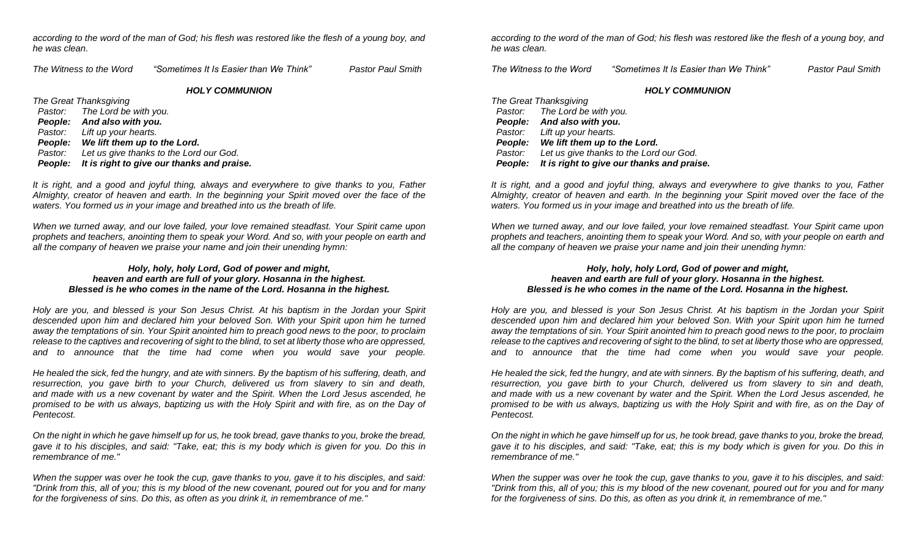*according to the word of the man of God; his flesh was restored like the flesh of a young boy, and he was clean.*

*The Witness to the Word "Sometimes It Is Easier than We Think" Pastor Paul Smith*

*The Great Thanksgiving* 

#### *HOLY COMMUNION*

|                | <i>ine</i> Great <i>inanksqiving</i>       |
|----------------|--------------------------------------------|
|                | Pastor: The Lord be with you.              |
|                | People: And also with you.                 |
| Pastor:        | Lift up your hearts.                       |
|                | People: We lift them up to the Lord.       |
| Pastor:        | Let us give thanks to the Lord our God.    |
| <b>People:</b> | It is right to give our thanks and praise. |

*It is right, and a good and joyful thing, always and everywhere to give thanks to you, Father Almighty, creator of heaven and earth. In the beginning your Spirit moved over the face of the waters. You formed us in your image and breathed into us the breath of life.*

*When we turned away, and our love failed, your love remained steadfast. Your Spirit came upon prophets and teachers, anointing them to speak your Word. And so, with your people on earth and all the company of heaven we praise your name and join their unending hymn:*

#### *Holy, holy, holy Lord, God of power and might, heaven and earth are full of your glory. Hosanna in the highest. Blessed is he who comes in the name of the Lord. Hosanna in the highest.*

*Holy are you, and blessed is your Son Jesus Christ. At his baptism in the Jordan your Spirit descended upon him and declared him your beloved Son. With your Spirit upon him he turned away the temptations of sin. Your Spirit anointed him to preach good news to the poor, to proclaim release to the captives and recovering of sight to the blind, to set at liberty those who are oppressed, and to announce that the time had come when you would save your people.*

*He healed the sick, fed the hungry, and ate with sinners. By the baptism of his suffering, death, and resurrection, you gave birth to your Church, delivered us from slavery to sin and death, and made with us a new covenant by water and the Spirit. When the Lord Jesus ascended, he promised to be with us always, baptizing us with the Holy Spirit and with fire, as on the Day of Pentecost.*

*On the night in which he gave himself up for us, he took bread, gave thanks to you, broke the bread, gave it to his disciples, and said: "Take, eat; this is my body which is given for you. Do this in remembrance of me."*

*When the supper was over he took the cup, gave thanks to you, gave it to his disciples, and said: "Drink from this, all of you; this is my blood of the new covenant, poured out for you and for many for the forgiveness of sins. Do this, as often as you drink it, in remembrance of me."*

*according to the word of the man of God; his flesh was restored like the flesh of a young boy, and he was clean.*

*The Witness to the Word "Sometimes It Is Easier than We Think" Pastor Paul Smith*

#### *HOLY COMMUNION*

|           | The Great Thanksgiving                     |
|-----------|--------------------------------------------|
|           | Pastor: The Lord be with you.              |
|           | People: And also with you.                 |
| Pastor:   | Lift up your hearts.                       |
|           | People: We lift them up to the Lord.       |
| Pastor:   | Let us give thanks to the Lord our God.    |
| People: . | It is right to give our thanks and praise. |

*It is right, and a good and joyful thing, always and everywhere to give thanks to you, Father Almighty, creator of heaven and earth. In the beginning your Spirit moved over the face of the waters. You formed us in your image and breathed into us the breath of life.* 

*When we turned away, and our love failed, your love remained steadfast. Your Spirit came upon prophets and teachers, anointing them to speak your Word. And so, with your people on earth and all the company of heaven we praise your name and join their unending hymn:*

#### *Holy, holy, holy Lord, God of power and might, heaven and earth are full of your glory. Hosanna in the highest. Blessed is he who comes in the name of the Lord. Hosanna in the highest.*

*Holy are you, and blessed is your Son Jesus Christ. At his baptism in the Jordan your Spirit descended upon him and declared him your beloved Son. With your Spirit upon him he turned away the temptations of sin. Your Spirit anointed him to preach good news to the poor, to proclaim release to the captives and recovering of sight to the blind, to set at liberty those who are oppressed, and to announce that the time had come when you would save your people.*

*He healed the sick, fed the hungry, and ate with sinners. By the baptism of his suffering, death, and resurrection, you gave birth to your Church, delivered us from slavery to sin and death, and made with us a new covenant by water and the Spirit. When the Lord Jesus ascended, he promised to be with us always, baptizing us with the Holy Spirit and with fire, as on the Day of Pentecost.*

*On the night in which he gave himself up for us, he took bread, gave thanks to you, broke the bread, gave it to his disciples, and said: "Take, eat; this is my body which is given for you. Do this in remembrance of me."*

*When the supper was over he took the cup, gave thanks to you, gave it to his disciples, and said: "Drink from this, all of you; this is my blood of the new covenant, poured out for you and for many for the forgiveness of sins. Do this, as often as you drink it, in remembrance of me."*